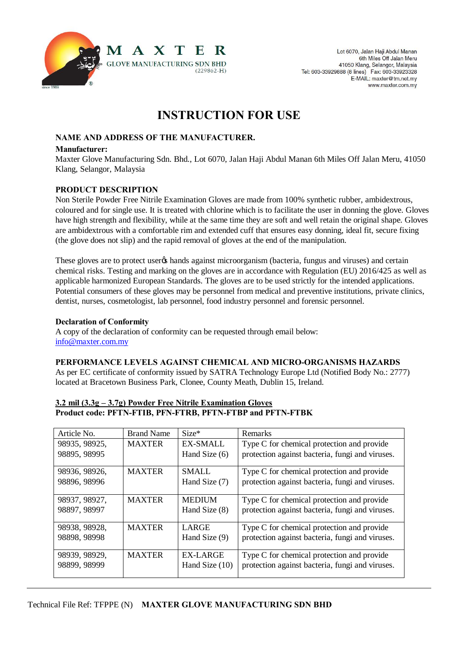

# **INSTRUCTION FOR USE**

# **NAME AND ADDRESS OF THE MANUFACTURER.**

#### **Manufacturer:**

Maxter Glove Manufacturing Sdn. Bhd., Lot 6070, Jalan Haji Abdul Manan 6th Miles Off Jalan Meru, 41050 Klang, Selangor, Malaysia

# **PRODUCT DESCRIPTION**

Non Sterile Powder Free Nitrile Examination Gloves are made from 100% synthetic rubber, ambidextrous, coloured and for single use. It is treated with chlorine which is to facilitate the user in donning the glove. Gloves have high strength and flexibility, while at the same time they are soft and well retain the original shape. Gloves are ambidextrous with a comfortable rim and extended cuff that ensures easy donning, ideal fit, secure fixing (the glove does not slip) and the rapid removal of gloves at the end of the manipulation.

These gloves are to protect user to hands against microorganism (bacteria, fungus and viruses) and certain chemical risks. Testing and marking on the gloves are in accordance with Regulation (EU) 2016/425 as well as applicable harmonized European Standards. The gloves are to be used strictly for the intended applications. Potential consumers of these gloves may be personnel from medical and preventive institutions, private clinics, dentist, nurses, cosmetologist, lab personnel, food industry personnel and forensic personnel.

#### **Declaration of Conformity**

A copy of the declaration of conformity can be requested through email below: info@maxter.com.my

# **PERFORMANCE LEVELS AGAINST CHEMICAL AND MICRO-ORGANISMS HAZARDS**

As per EC certificate of conformity issued by SATRA Technology Europe Ltd (Notified Body No.: 2777) located at Bracetown Business Park, Clonee, County Meath, Dublin 15, Ireland.

# **3.2 mil (3.3g – 3.7g) Powder Free Nitrile Examination Gloves Product code: PFTN-FTIB, PFN-FTRB, PFTN-FTBP and PFTN-FTBK**

| Article No.   | <b>Brand Name</b> | $Size*$         | Remarks                                         |
|---------------|-------------------|-----------------|-------------------------------------------------|
| 98935, 98925, | <b>MAXTER</b>     | <b>EX-SMALL</b> | Type C for chemical protection and provide      |
| 98895, 98995  |                   | Hand Size (6)   | protection against bacteria, fungi and viruses. |
| 98936, 98926, | <b>MAXTER</b>     | <b>SMALL</b>    | Type C for chemical protection and provide      |
| 98896, 98996  |                   | Hand Size (7)   | protection against bacteria, fungi and viruses. |
| 98937, 98927, | <b>MAXTER</b>     | <b>MEDIUM</b>   | Type C for chemical protection and provide      |
| 98897, 98997  |                   | Hand Size (8)   | protection against bacteria, fungi and viruses. |
| 98938, 98928, | <b>MAXTER</b>     | LARGE           | Type C for chemical protection and provide      |
| 98898, 98998  |                   | Hand Size (9)   | protection against bacteria, fungi and viruses. |
| 98939, 98929, | <b>MAXTER</b>     | EX-LARGE        | Type C for chemical protection and provide      |
| 98899, 98999  |                   | Hand Size (10)  | protection against bacteria, fungi and viruses. |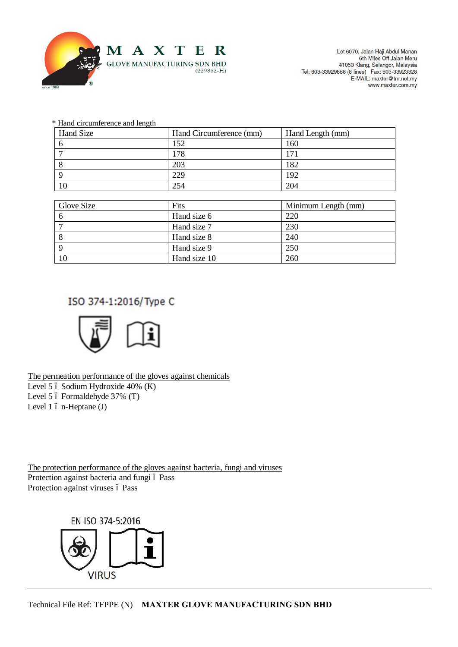

Lot 6070, Jalan Haji Abdul Manan 6th Miles Off Jalan Meru oth Miles Off Jalah Meru<br>41050 Klang, Selangor, Malaysia<br>Tel: 603-33929888 (8 lines) Fax: 603-33923328 E-MAIL: maxter@tm.net.my www.maxter.com.my

| * Hand circumference and length |  |
|---------------------------------|--|
|---------------------------------|--|

| Hand Size  | Hand Circumference (mm) | Hand Length (mm)    |
|------------|-------------------------|---------------------|
| 6          | 152                     | 160                 |
| 7          | 178                     | 171                 |
| 8          | 203                     | 182                 |
| 9          | 229                     | 192                 |
| 10         | 254                     | 204                 |
|            |                         |                     |
| Glove Size | Fits                    | Minimum Length (mm) |
| 6          | Hand size 6             | 220                 |
| 7          | Hand size 7             | 230                 |
| 8          | Hand size 8             | 240                 |
| 9          | Hand size 9             | 250                 |
| 10         | Hand size 10            | 260                 |

# ISO 374-1:2016/Type C



The permeation performance of the gloves against chemicals Level 5  $6$  Sodium Hydroxide 40% (K) Level 5  $6$  Formaldehyde 37% (T) Level  $1$  ó n-Heptane  $(J)$ 

The protection performance of the gloves against bacteria, fungi and viruses Protection against bacteria and fungi ó Pass Protection against viruses ó Pass

EN ISO 374-5:2016

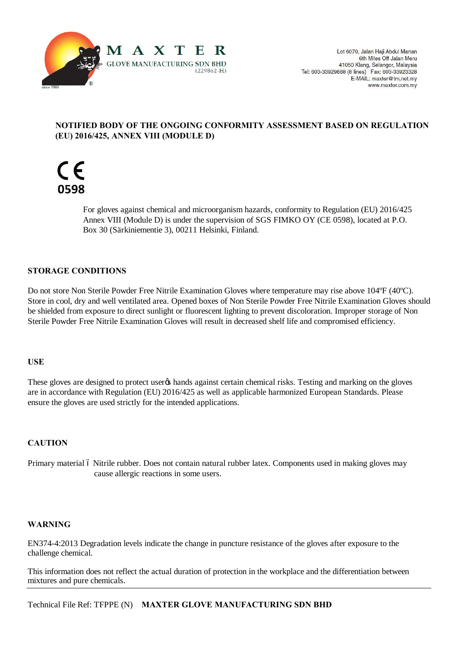

# **NOTIFIED BODY OF THE ONGOING CONFORMITY ASSESSMENT BASED ON REGULATION (EU) 2016/425, ANNEX VIII (MODULE D)**



For gloves against chemical and microorganism hazards, conformity to Regulation (EU) 2016/425 Annex VIII (Module D) is under the supervision of SGS FIMKO OY (CE 0598), located at P.O. Box 30 (Särkiniementie 3), 00211 Helsinki, Finland.

# **STORAGE CONDITIONS**

Do not store Non Sterile Powder Free Nitrile Examination Gloves where temperature may rise above 104ºF (40ºC). Store in cool, dry and well ventilated area. Opened boxes of Non Sterile Powder Free Nitrile Examination Gloves should be shielded from exposure to direct sunlight or fluorescent lighting to prevent discoloration. Improper storage of Non Sterile Powder Free Nitrile Examination Gloves will result in decreased shelf life and compromised efficiency.

# **USE**

These gloves are designed to protect user $\alpha$  hands against certain chemical risks. Testing and marking on the gloves are in accordance with Regulation (EU) 2016/425 as well as applicable harmonized European Standards. Please ensure the gloves are used strictly for the intended applications.

# **CAUTION**

Primary material 6 Nitrile rubber. Does not contain natural rubber latex. Components used in making gloves may cause allergic reactions in some users.

# **WARNING**

EN374-4:2013 Degradation levels indicate the change in puncture resistance of the gloves after exposure to the challenge chemical.

This information does not reflect the actual duration of protection in the workplace and the differentiation between mixtures and pure chemicals.

Technical File Ref: TFPPE (N) **MAXTER GLOVE MANUFACTURING SDN BHD**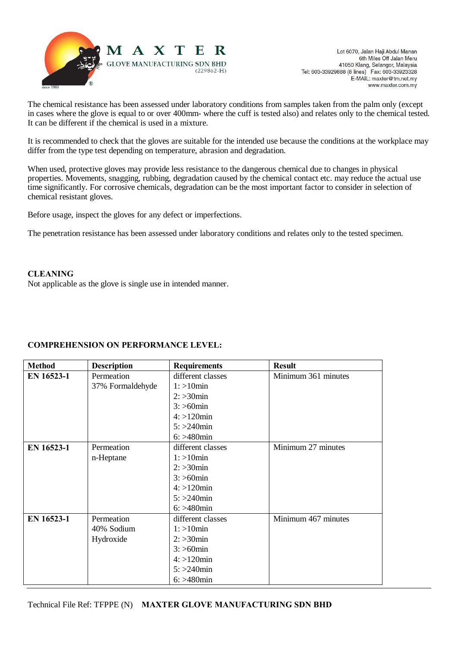

The chemical resistance has been assessed under laboratory conditions from samples taken from the palm only (except in cases where the glove is equal to or over 400mm- where the cuff is tested also) and relates only to the chemical tested. It can be different if the chemical is used in a mixture.

It is recommended to check that the gloves are suitable for the intended use because the conditions at the workplace may differ from the type test depending on temperature, abrasion and degradation.

When used, protective gloves may provide less resistance to the dangerous chemical due to changes in physical properties. Movements, snagging, rubbing, degradation caused by the chemical contact etc. may reduce the actual use time significantly. For corrosive chemicals, degradation can be the most important factor to consider in selection of chemical resistant gloves.

Before usage, inspect the gloves for any defect or imperfections.

The penetration resistance has been assessed under laboratory conditions and relates only to the tested specimen.

# **CLEANING**

Not applicable as the glove is single use in intended manner.

# **COMPREHENSION ON PERFORMANCE LEVEL:**

| <b>Method</b> | <b>Description</b> | <b>Requirements</b> | <b>Result</b>       |
|---------------|--------------------|---------------------|---------------------|
| EN 16523-1    | Permeation         | different classes   | Minimum 361 minutes |
|               | 37% Formaldehyde   | $1:$ >10 $min$      |                     |
|               |                    | $2: >30$ min        |                     |
|               |                    | $3: > 60$ min       |                     |
|               |                    | $4: >120$ min       |                     |
|               |                    | $5: > 240$ min      |                     |
|               |                    | $6: > 480$ min      |                     |
| EN 16523-1    | Permeation         | different classes   | Minimum 27 minutes  |
|               | n-Heptane          | $1:$ >10 $min$      |                     |
|               |                    | $2: >30$ min        |                     |
|               |                    | $3: >60$ min        |                     |
|               |                    | $4: >120$ min       |                     |
|               |                    | $5: > 240$ min      |                     |
|               |                    | $6: > 480$ min      |                     |
| EN 16523-1    | Permeation         | different classes   | Minimum 467 minutes |
|               | 40% Sodium         | $1:$ >10 $min$      |                     |
|               | Hydroxide          | $2: >30$ min        |                     |
|               |                    | $3: >60$ min        |                     |
|               |                    | $4: >120$ min       |                     |
|               |                    | $5: > 240$ min      |                     |
|               |                    | $6: > 480$ min      |                     |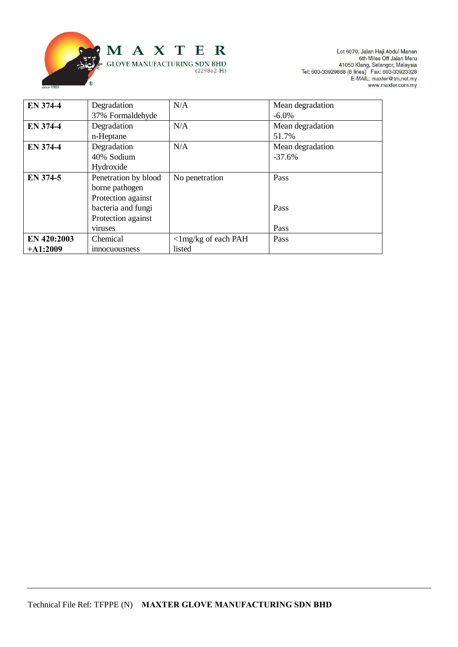

Lot 6070, Jalan Haji Abdul Manan<br>6th Miles Off Jalan Meru<br>41050 Klang, Selangor, Malaysia<br>7el: 603-33929888 (8 lines) Fax: 603-33923328<br>E-MAIL: maxter@tm.net.my<br>www.maxter.com.my

| <b>EN 374-4</b> | Degradation          | N/A                           | Mean degradation |
|-----------------|----------------------|-------------------------------|------------------|
|                 | 37% Formaldehyde     |                               | $-6.0\%$         |
| <b>EN 374-4</b> | Degradation          | N/A                           | Mean degradation |
|                 | n-Heptane            |                               | 51.7%            |
| <b>EN 374-4</b> | Degradation          | N/A                           | Mean degradation |
|                 | 40% Sodium           |                               | $-37.6%$         |
|                 | Hydroxide            |                               |                  |
| EN 374-5        | Penetration by blood | No penetration                | Pass             |
|                 | borne pathogen       |                               |                  |
|                 | Protection against   |                               |                  |
|                 | bacteria and fungi   |                               | Pass             |
|                 | Protection against   |                               |                  |
|                 | viruses              |                               | Pass             |
| EN 420:2003     | Chemical             | $\langle$ 1 mg/kg of each PAH | Pass             |
| $+A1:2009$      | <i>innocuousness</i> | listed                        |                  |